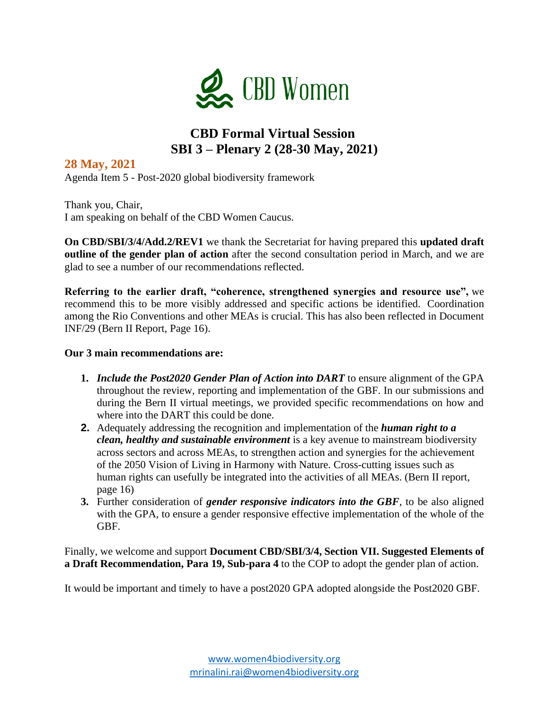

# **CBD Formal Virtual Session SBI 3 – Plenary 2 (28-30 May, 2021)**

### **28 May, 2021**

Agenda Item 5 - Post-2020 global biodiversity framework

Thank you, Chair, I am speaking on behalf of the CBD Women Caucus.

**On CBD/SBI/3/4/Add.2/REV1** we thank the Secretariat for having prepared this **updated draft outline of the gender plan of action** after the second consultation period in March, and we are glad to see a number of our recommendations reflected.

**Referring to the earlier draft, "coherence, strengthened synergies and resource use",** we recommend this to be more visibly addressed and specific actions be identified. Coordination among the Rio Conventions and other MEAs is crucial. This has also been reflected in Document INF/29 (Bern II Report, Page 16).

#### **Our 3 main recommendations are:**

- **1.** *Include the Post2020 Gender Plan of Action into DART* to ensure alignment of the GPA throughout the review, reporting and implementation of the GBF. In our submissions and during the Bern II virtual meetings, we provided specific recommendations on how and where into the DART this could be done.
- **2.** Adequately addressing the recognition and implementation of the *human right to a clean, healthy and sustainable environment* is a key avenue to mainstream biodiversity across sectors and across MEAs, to strengthen action and synergies for the achievement of the 2050 Vision of Living in Harmony with Nature. Cross-cutting issues such as human rights can usefully be integrated into the activities of all MEAs. (Bern II report, page 16)
- **3.** Further consideration of *gender responsive indicators into the GBF*, to be also aligned with the GPA, to ensure a gender responsive effective implementation of the whole of the GBF.

Finally, we welcome and support **Document CBD/SBI/3/4, Section VII. Suggested Elements of a Draft Recommendation, Para 19, Sub-para 4** to the COP to adopt the gender plan of action.

It would be important and timely to have a post2020 GPA adopted alongside the Post2020 GBF.